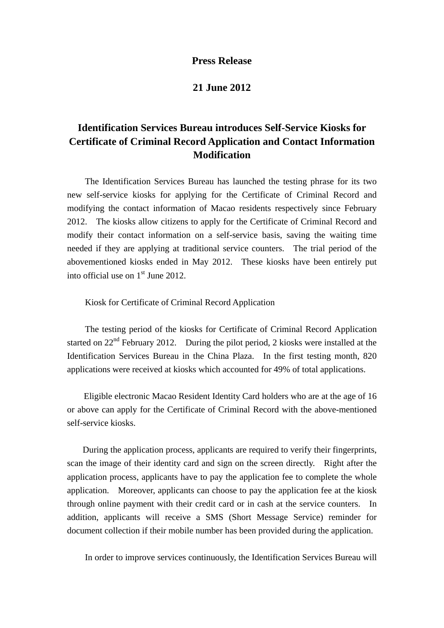## **Press Release**

## **21 June 2012**

## **Identification Services Bureau introduces Self-Service Kiosks for Certificate of Criminal Record Application and Contact Information Modification**

The Identification Services Bureau has launched the testing phrase for its two new self-service kiosks for applying for the Certificate of Criminal Record and modifying the contact information of Macao residents respectively since February 2012. The kiosks allow citizens to apply for the Certificate of Criminal Record and modify their contact information on a self-service basis, saving the waiting time needed if they are applying at traditional service counters. The trial period of the abovementioned kiosks ended in May 2012. These kiosks have been entirely put into official use on  $1<sup>st</sup>$  June 2012.

Kiosk for Certificate of Criminal Record Application

 The testing period of the kiosks for Certificate of Criminal Record Application started on 22<sup>nd</sup> February 2012. During the pilot period, 2 kiosks were installed at the Identification Services Bureau in the China Plaza. In the first testing month, 820 applications were received at kiosks which accounted for 49% of total applications.

Eligible electronic Macao Resident Identity Card holders who are at the age of 16 or above can apply for the Certificate of Criminal Record with the above-mentioned self-service kiosks.

 During the application process, applicants are required to verify their fingerprints, scan the image of their identity card and sign on the screen directly. Right after the application process, applicants have to pay the application fee to complete the whole application. Moreover, applicants can choose to pay the application fee at the kiosk through online payment with their credit card or in cash at the service counters. In addition, applicants will receive a SMS (Short Message Service) reminder for document collection if their mobile number has been provided during the application.

In order to improve services continuously, the Identification Services Bureau will